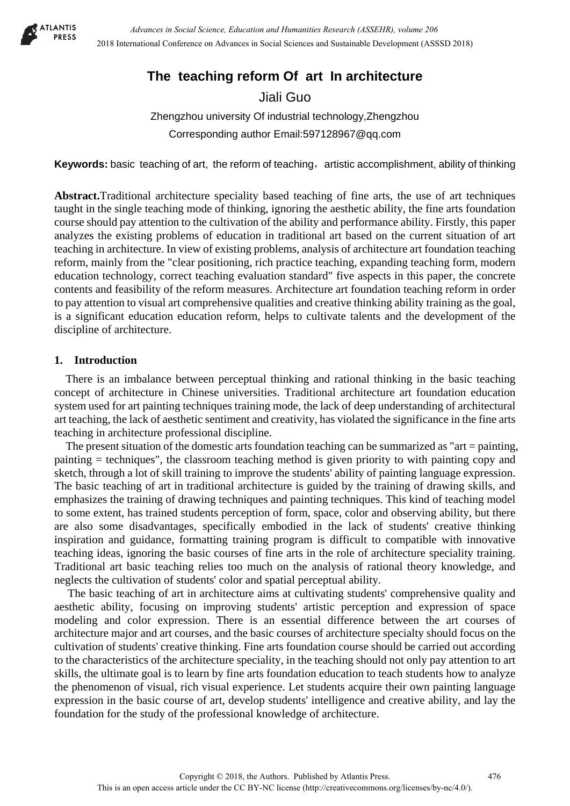

# **The teaching reform Of art In architecture**

Jiali Guo

Zhengzhou university Of industrial technology,Zhengzhou Corresponding author Email:597128967@qq.com

Keywords: basic teaching of art, the reform of teaching, artistic accomplishment, ability of thinking

**Abstract.**Traditional architecture speciality based teaching of fine arts, the use of art techniques taught in the single teaching mode of thinking, ignoring the aesthetic ability, the fine arts foundation course should pay attention to the cultivation of the ability and performance ability. Firstly, this paper analyzes the existing problems of education in traditional art based on the current situation of art teaching in architecture. In view of existing problems, analysis of architecture art foundation teaching reform, mainly from the "clear positioning, rich practice teaching, expanding teaching form, modern education technology, correct teaching evaluation standard" five aspects in this paper, the concrete contents and feasibility of the reform measures. Architecture art foundation teaching reform in order to pay attention to visual art comprehensive qualities and creative thinking ability training as the goal, is a significant education education reform, helps to cultivate talents and the development of the discipline of architecture.

# **1. Introduction**

There is an imbalance between perceptual thinking and rational thinking in the basic teaching concept of architecture in Chinese universities. Traditional architecture art foundation education system used for art painting techniques training mode, the lack of deep understanding of architectural art teaching, the lack of aesthetic sentiment and creativity, has violated the significance in the fine arts teaching in architecture professional discipline.

The present situation of the domestic arts foundation teaching can be summarized as "art = painting, painting = techniques", the classroom teaching method is given priority to with painting copy and sketch, through a lot of skill training to improve the students' ability of painting language expression. The basic teaching of art in traditional architecture is guided by the training of drawing skills, and emphasizes the training of drawing techniques and painting techniques. This kind of teaching model to some extent, has trained students perception of form, space, color and observing ability, but there are also some disadvantages, specifically embodied in the lack of students' creative thinking inspiration and guidance, formatting training program is difficult to compatible with innovative teaching ideas, ignoring the basic courses of fine arts in the role of architecture speciality training. Traditional art basic teaching relies too much on the analysis of rational theory knowledge, and neglects the cultivation of students' color and spatial perceptual ability.

The basic teaching of art in architecture aims at cultivating students' comprehensive quality and aesthetic ability, focusing on improving students' artistic perception and expression of space modeling and color expression. There is an essential difference between the art courses of architecture major and art courses, and the basic courses of architecture specialty should focus on the cultivation of students' creative thinking. Fine arts foundation course should be carried out according to the characteristics of the architecture speciality, in the teaching should not only pay attention to art skills, the ultimate goal is to learn by fine arts foundation education to teach students how to analyze the phenomenon of visual, rich visual experience. Let students acquire their own painting language expression in the basic course of art, develop students' intelligence and creative ability, and lay the foundation for the study of the professional knowledge of architecture.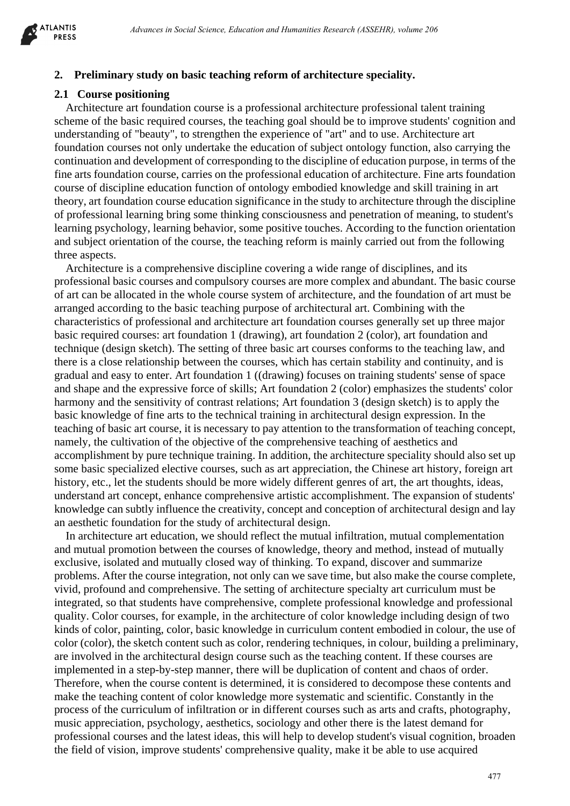

#### **2. Preliminary study on basic teaching reform of architecture speciality.**

## **2.1 Course positioning**

 Architecture art foundation course is a professional architecture professional talent training scheme of the basic required courses, the teaching goal should be to improve students' cognition and understanding of "beauty", to strengthen the experience of "art" and to use. Architecture art foundation courses not only undertake the education of subject ontology function, also carrying the continuation and development of corresponding to the discipline of education purpose, in terms of the fine arts foundation course, carries on the professional education of architecture. Fine arts foundation course of discipline education function of ontology embodied knowledge and skill training in art theory, art foundation course education significance in the study to architecture through the discipline of professional learning bring some thinking consciousness and penetration of meaning, to student's learning psychology, learning behavior, some positive touches. According to the function orientation and subject orientation of the course, the teaching reform is mainly carried out from the following three aspects.

Architecture is a comprehensive discipline covering a wide range of disciplines, and its professional basic courses and compulsory courses are more complex and abundant. The basic course of art can be allocated in the whole course system of architecture, and the foundation of art must be arranged according to the basic teaching purpose of architectural art. Combining with the characteristics of professional and architecture art foundation courses generally set up three major basic required courses: art foundation 1 (drawing), art foundation 2 (color), art foundation and technique (design sketch). The setting of three basic art courses conforms to the teaching law, and there is a close relationship between the courses, which has certain stability and continuity, and is gradual and easy to enter. Art foundation 1 ((drawing) focuses on training students' sense of space and shape and the expressive force of skills; Art foundation 2 (color) emphasizes the students' color harmony and the sensitivity of contrast relations; Art foundation 3 (design sketch) is to apply the basic knowledge of fine arts to the technical training in architectural design expression. In the teaching of basic art course, it is necessary to pay attention to the transformation of teaching concept, namely, the cultivation of the objective of the comprehensive teaching of aesthetics and accomplishment by pure technique training. In addition, the architecture speciality should also set up some basic specialized elective courses, such as art appreciation, the Chinese art history, foreign art history, etc., let the students should be more widely different genres of art, the art thoughts, ideas, understand art concept, enhance comprehensive artistic accomplishment. The expansion of students' knowledge can subtly influence the creativity, concept and conception of architectural design and lay an aesthetic foundation for the study of architectural design. determine becoming a second and the social of the social determined and the social of the social science in the social of the social science in the social of the social of the social of the social science in the social of

In architecture art education, we should reflect the mutual infiltration, mutual complementation and mutual promotion between the courses of knowledge, theory and method, instead of mutually exclusive, isolated and mutually closed way of thinking. To expand, discover and summarize problems. After the course integration, not only can we save time, but also make the course complete, vivid, profound and comprehensive. The setting of architecture specialty art curriculum must be integrated, so that students have comprehensive, complete professional knowledge and professional quality. Color courses, for example, in the architecture of color knowledge including design of two kinds of color, painting, color, basic knowledge in curriculum content embodied in colour, the use of color (color), the sketch content such as color, rendering techniques, in colour, building a preliminary, are involved in the architectural design course such as the teaching content. If these courses are implemented in a step-by-step manner, there will be duplication of content and chaos of order. Therefore, when the course content is determined, it is considered to decompose these contents and make the teaching content of color knowledge more systematic and scientific. Constantly in the process of the curriculum of infiltration or in different courses such as arts and crafts, photography, music appreciation, psychology, aesthetics, sociology and other there is the latest demand for professional courses and the latest ideas, this will help to develop student's visual cognition, broaden the field of vision, improve students' comprehensive quality, make it be able to use acquired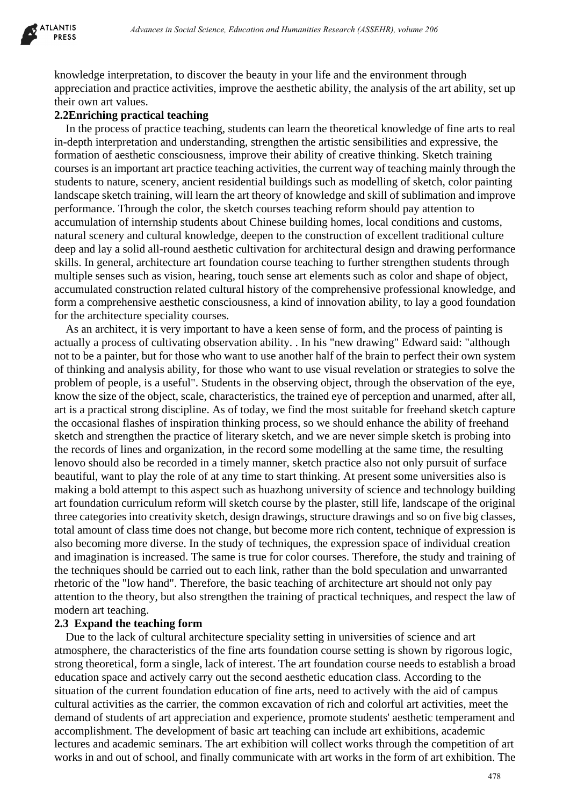

knowledge interpretation, to discover the beauty in your life and the environment through appreciation and practice activities, improve the aesthetic ability, the analysis of the art ability, set up their own art values.

## **2.2Enriching practical teaching**

In the process of practice teaching, students can learn the theoretical knowledge of fine arts to real in-depth interpretation and understanding, strengthen the artistic sensibilities and expressive, the formation of aesthetic consciousness, improve their ability of creative thinking. Sketch training courses is an important art practice teaching activities, the current way of teaching mainly through the students to nature, scenery, ancient residential buildings such as modelling of sketch, color painting landscape sketch training, will learn the art theory of knowledge and skill of sublimation and improve performance. Through the color, the sketch courses teaching reform should pay attention to accumulation of internship students about Chinese building homes, local conditions and customs, natural scenery and cultural knowledge, deepen to the construction of excellent traditional culture deep and lay a solid all-round aesthetic cultivation for architectural design and drawing performance skills. In general, architecture art foundation course teaching to further strengthen students through multiple senses such as vision, hearing, touch sense art elements such as color and shape of object, accumulated construction related cultural history of the comprehensive professional knowledge, and form a comprehensive aesthetic consciousness, a kind of innovation ability, to lay a good foundation for the architecture speciality courses.

As an architect, it is very important to have a keen sense of form, and the process of painting is actually a process of cultivating observation ability. . In his "new drawing" Edward said: "although not to be a painter, but for those who want to use another half of the brain to perfect their own system of thinking and analysis ability, for those who want to use visual revelation or strategies to solve the problem of people, is a useful". Students in the observing object, through the observation of the eye, know the size of the object, scale, characteristics, the trained eye of perception and unarmed, after all, art is a practical strong discipline. As of today, we find the most suitable for freehand sketch capture the occasional flashes of inspiration thinking process, so we should enhance the ability of freehand sketch and strengthen the practice of literary sketch, and we are never simple sketch is probing into the records of lines and organization, in the record some modelling at the same time, the resulting lenovo should also be recorded in a timely manner, sketch practice also not only pursuit of surface beautiful, want to play the role of at any time to start thinking. At present some universities also is making a bold attempt to this aspect such as huazhong university of science and technology building art foundation curriculum reform will sketch course by the plaster, still life, landscape of the original three categories into creativity sketch, design drawings, structure drawings and so on five big classes, total amount of class time does not change, but become more rich content, technique of expression is also becoming more diverse. In the study of techniques, the expression space of individual creation and imagination is increased. The same is true for color courses. Therefore, the study and training of the techniques should be carried out to each link, rather than the bold speculation and unwarranted rhetoric of the "low hand". Therefore, the basic teaching of architecture art should not only pay attention to the theory, but also strengthen the training of practical techniques, and respect the law of modern art teaching. *Athenes in Social Science, Education and Humanities Research (ASSEHR), where 266<br>prediction, to diverver the becausty in your life and the environment through<br>products and viries, improve the activation and the deutrical* 

## **2.3 Expand the teaching form**

Due to the lack of cultural architecture speciality setting in universities of science and art atmosphere, the characteristics of the fine arts foundation course setting is shown by rigorous logic, strong theoretical, form a single, lack of interest. The art foundation course needs to establish a broad education space and actively carry out the second aesthetic education class. According to the situation of the current foundation education of fine arts, need to actively with the aid of campus cultural activities as the carrier, the common excavation of rich and colorful art activities, meet the demand of students of art appreciation and experience, promote students' aesthetic temperament and accomplishment. The development of basic art teaching can include art exhibitions, academic lectures and academic seminars. The art exhibition will collect works through the competition of art works in and out of school, and finally communicate with art works in the form of art exhibition. The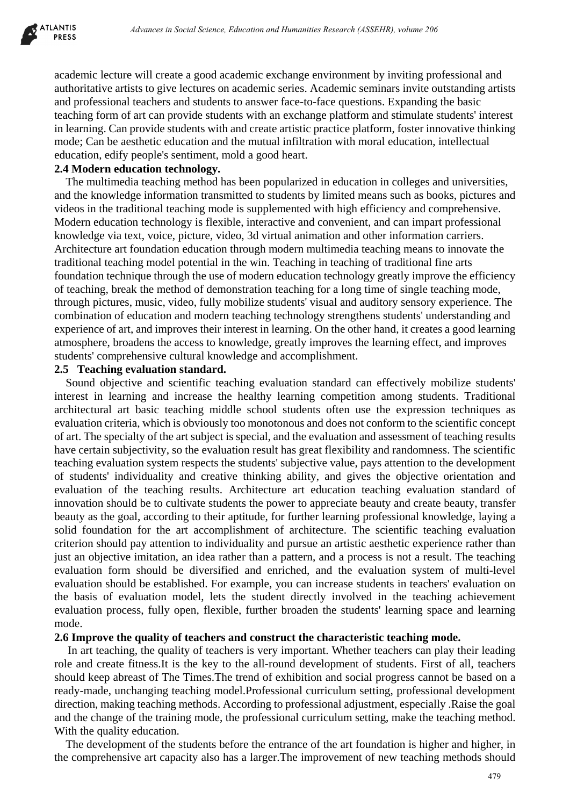

academic lecture will create a good academic exchange environment by inviting professional and authoritative artists to give lectures on academic series. Academic seminars invite outstanding artists and professional teachers and students to answer face-to-face questions. Expanding the basic teaching form of art can provide students with an exchange platform and stimulate students' interest in learning. Can provide students with and create artistic practice platform, foster innovative thinking mode; Can be aesthetic education and the mutual infiltration with moral education, intellectual education, edify people's sentiment, mold a good heart.

## **2.4 Modern education technology.**

The multimedia teaching method has been popularized in education in colleges and universities, and the knowledge information transmitted to students by limited means such as books, pictures and videos in the traditional teaching mode is supplemented with high efficiency and comprehensive. Modern education technology is flexible, interactive and convenient, and can impart professional knowledge via text, voice, picture, video, 3d virtual animation and other information carriers. Architecture art foundation education through modern multimedia teaching means to innovate the traditional teaching model potential in the win. Teaching in teaching of traditional fine arts foundation technique through the use of modern education technology greatly improve the efficiency of teaching, break the method of demonstration teaching for a long time of single teaching mode, through pictures, music, video, fully mobilize students' visual and auditory sensory experience. The combination of education and modern teaching technology strengthens students' understanding and experience of art, and improves their interest in learning. On the other hand, it creates a good learning atmosphere, broadens the access to knowledge, greatly improves the learning effect, and improves students' comprehensive cultural knowledge and accomplishment.

#### **2.5 Teaching evaluation standard.**

Sound objective and scientific teaching evaluation standard can effectively mobilize students' interest in learning and increase the healthy learning competition among students. Traditional architectural art basic teaching middle school students often use the expression techniques as evaluation criteria, which is obviously too monotonous and does not conform to the scientific concept of art. The specialty of the art subject is special, and the evaluation and assessment of teaching results have certain subjectivity, so the evaluation result has great flexibility and randomness. The scientific teaching evaluation system respects the students' subjective value, pays attention to the development of students' individuality and creative thinking ability, and gives the objective orientation and evaluation of the teaching results. Architecture art education teaching evaluation standard of innovation should be to cultivate students the power to appreciate beauty and create beauty, transfer beauty as the goal, according to their aptitude, for further learning professional knowledge, laying a solid foundation for the art accomplishment of architecture. The scientific teaching evaluation criterion should pay attention to individuality and pursue an artistic aesthetic experience rather than just an objective imitation, an idea rather than a pattern, and a process is not a result. The teaching evaluation form should be diversified and enriched, and the evaluation system of multi-level evaluation should be established. For example, you can increase students in teachers' evaluation on the basis of evaluation model, lets the student directly involved in the teaching achievement evaluation process, fully open, flexible, further broaden the students' learning space and learning mode. *Abvances in Social Science, Education de Humanities Research (ASSEHR), where 206*<br>
Awill create a grood academic exchange environment by inviting professional and<br>
stats for give locatives on anadomic science, Academic sc

### **2.6 Improve the quality of teachers and construct the characteristic teaching mode.**

In art teaching, the quality of teachers is very important. Whether teachers can play their leading role and create fitness.It is the key to the all-round development of students. First of all, teachers should keep abreast of The Times.The trend of exhibition and social progress cannot be based on a ready-made, unchanging teaching model.Professional curriculum setting, professional development direction, making teaching methods. According to professional adjustment, especially .Raise the goal and the change of the training mode, the professional curriculum setting, make the teaching method. With the quality education.

The development of the students before the entrance of the art foundation is higher and higher, in the comprehensive art capacity also has a larger.The improvement of new teaching methods should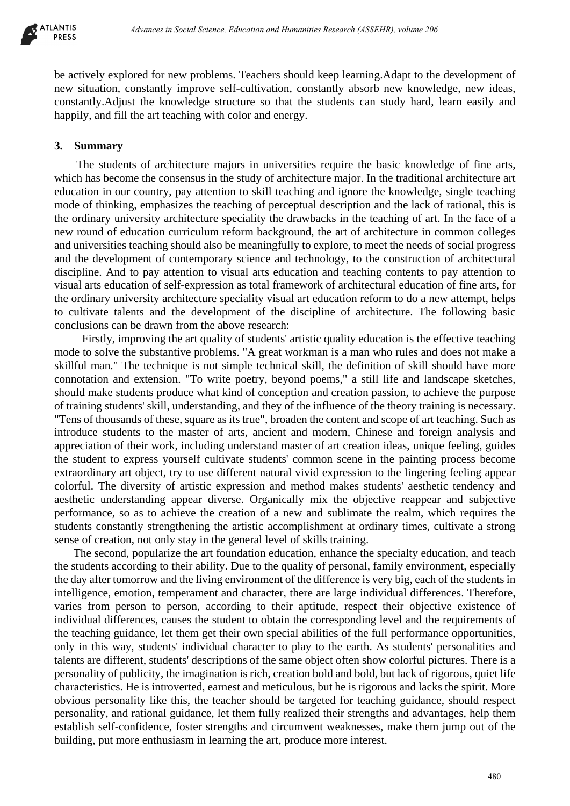

be actively explored for new problems. Teachers should keep learning.Adapt to the development of new situation, constantly improve self-cultivation, constantly absorb new knowledge, new ideas, constantly.Adjust the knowledge structure so that the students can study hard, learn easily and happily, and fill the art teaching with color and energy.

## **3. Summary**

 The students of architecture majors in universities require the basic knowledge of fine arts, which has become the consensus in the study of architecture major. In the traditional architecture art education in our country, pay attention to skill teaching and ignore the knowledge, single teaching mode of thinking, emphasizes the teaching of perceptual description and the lack of rational, this is the ordinary university architecture speciality the drawbacks in the teaching of art. In the face of a new round of education curriculum reform background, the art of architecture in common colleges and universities teaching should also be meaningfully to explore, to meet the needs of social progress and the development of contemporary science and technology, to the construction of architectural discipline. And to pay attention to visual arts education and teaching contents to pay attention to visual arts education of self-expression as total framework of architectural education of fine arts, for the ordinary university architecture speciality visual art education reform to do a new attempt, helps to cultivate talents and the development of the discipline of architecture. The following basic conclusions can be drawn from the above research:

 Firstly, improving the art quality of students' artistic quality education is the effective teaching mode to solve the substantive problems. "A great workman is a man who rules and does not make a skillful man." The technique is not simple technical skill, the definition of skill should have more connotation and extension. "To write poetry, beyond poems," a still life and landscape sketches, should make students produce what kind of conception and creation passion, to achieve the purpose of training students' skill, understanding, and they of the influence of the theory training is necessary. "Tens of thousands of these, square as its true", broaden the content and scope of art teaching. Such as introduce students to the master of arts, ancient and modern, Chinese and foreign analysis and appreciation of their work, including understand master of art creation ideas, unique feeling, guides the student to express yourself cultivate students' common scene in the painting process become extraordinary art object, try to use different natural vivid expression to the lingering feeling appear colorful. The diversity of artistic expression and method makes students' aesthetic tendency and aesthetic understanding appear diverse. Organically mix the objective reappear and subjective performance, so as to achieve the creation of a new and sublimate the realm, which requires the students constantly strengthening the artistic accomplishment at ordinary times, cultivate a strong sense of creation, not only stay in the general level of skills training. deness in Social Science, Education de Humanities Research (ASSEHR), where 206<br>and for new problems. Teachers should keep learning Adapt to the development<br>smooth and Humanities in the state of the controlled Science and H

 The second, popularize the art foundation education, enhance the specialty education, and teach the students according to their ability. Due to the quality of personal, family environment, especially the day after tomorrow and the living environment of the difference is very big, each of the students in intelligence, emotion, temperament and character, there are large individual differences. Therefore, varies from person to person, according to their aptitude, respect their objective existence of individual differences, causes the student to obtain the corresponding level and the requirements of the teaching guidance, let them get their own special abilities of the full performance opportunities, only in this way, students' individual character to play to the earth. As students' personalities and talents are different, students' descriptions of the same object often show colorful pictures. There is a personality of publicity, the imagination is rich, creation bold and bold, but lack of rigorous, quiet life characteristics. He is introverted, earnest and meticulous, but he is rigorous and lacks the spirit. More obvious personality like this, the teacher should be targeted for teaching guidance, should respect personality, and rational guidance, let them fully realized their strengths and advantages, help them establish self-confidence, foster strengths and circumvent weaknesses, make them jump out of the building, put more enthusiasm in learning the art, produce more interest.